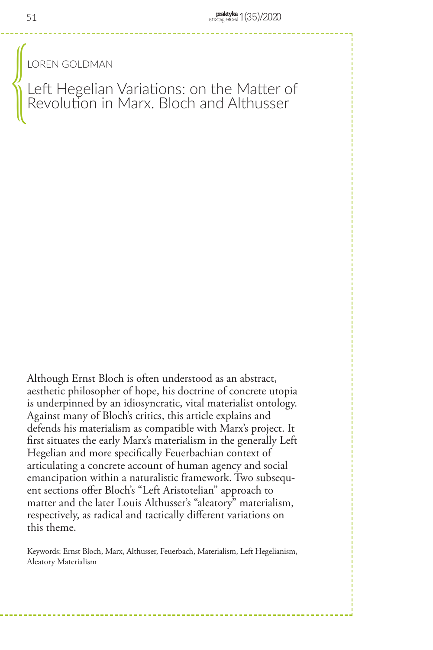LOREN GOLDMAN

Left Hegelian Variations: on the Matter of Revolution in Marx. Bloch and Althusser  $\bigcup\limits_{i=1}^n$ 

Although Ernst Bloch is often understood as an abstract, aesthetic philosopher of hope, his doctrine of concrete utopia is underpinned by an idiosyncratic, vital materialist ontology. Against many of Bloch's critics, this article explains and defends his materialism as compatible with Marx's project. It first situates the early Marx's materialism in the generally Left Hegelian and more specifically Feuerbachian context of articulating a concrete account of human agency and social emancipation within a naturalistic framework. Two subsequent sections offer Bloch's "Left Aristotelian" approach to matter and the later Louis Althusser's "aleatory" materialism, respectively, as radical and tactically different variations on this theme.

Keywords: Ernst Bloch, Marx, Althusser, Feuerbach, Materialism, Left Hegelianism, Aleatory Materialism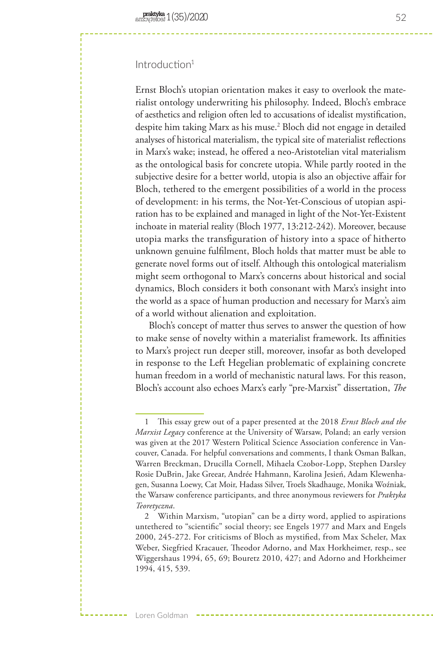# Introduction<sup>1</sup>

Ernst Bloch's utopian orientation makes it easy to overlook the materialist ontology underwriting his philosophy. Indeed, Bloch's embrace of aesthetics and religion often led to accusations of idealist mystification, despite him taking Marx as his muse.2 Bloch did not engage in detailed analyses of historical materialism, the typical site of materialist reflections in Marx's wake; instead, he offered a neo-Aristotelian vital materialism as the ontological basis for concrete utopia. While partly rooted in the subjective desire for a better world, utopia is also an objective affair for Bloch, tethered to the emergent possibilities of a world in the process of development: in his terms, the Not-Yet-Conscious of utopian aspiration has to be explained and managed in light of the Not-Yet-Existent inchoate in material reality (Bloch 1977, 13:212-242). Moreover, because utopia marks the transfiguration of history into a space of hitherto unknown genuine fulfilment, Bloch holds that matter must be able to generate novel forms out of itself. Although this ontological materialism might seem orthogonal to Marx's concerns about historical and social dynamics, Bloch considers it both consonant with Marx's insight into the world as a space of human production and necessary for Marx's aim of a world without alienation and exploitation.

Bloch's concept of matter thus serves to answer the question of how to make sense of novelty within a materialist framework. Its affinities to Marx's project run deeper still, moreover, insofar as both developed in response to the Left Hegelian problematic of explaining concrete human freedom in a world of mechanistic natural laws. For this reason, Bloch's account also echoes Marx's early "pre-Marxist" dissertation, *The* 

<sup>1</sup> This essay grew out of a paper presented at the 2018 *Ernst Bloch and the Marxist Legacy* conference at the University of Warsaw, Poland; an early version was given at the 2017 Western Political Science Association conference in Vancouver, Canada. For helpful conversations and comments, I thank Osman Balkan, Warren Breckman, Drucilla Cornell, Mihaela Czobor-Lopp, Stephen Darsley Rosie DuBrin, Jake Greear, Andrée Hahmann, Karolina Jesień, Adam Klewenhagen, Susanna Loewy, Cat Moir, Hadass Silver, Troels Skadhauge, Monika Woźniak, the Warsaw conference participants, and three anonymous reviewers for *Praktyka Teoretyczna*.

<sup>2</sup> Within Marxism, "utopian" can be a dirty word, applied to aspirations untethered to "scientific" social theory; see Engels 1977 and Marx and Engels 2000, 245-272. For criticisms of Bloch as mystified, from Max Scheler, Max Weber, Siegfried Kracauer, Theodor Adorno, and Max Horkheimer, resp., see Wiggershaus 1994, 65, 69; Bouretz 2010, 427; and Adorno and Horkheimer 1994, 415, 539.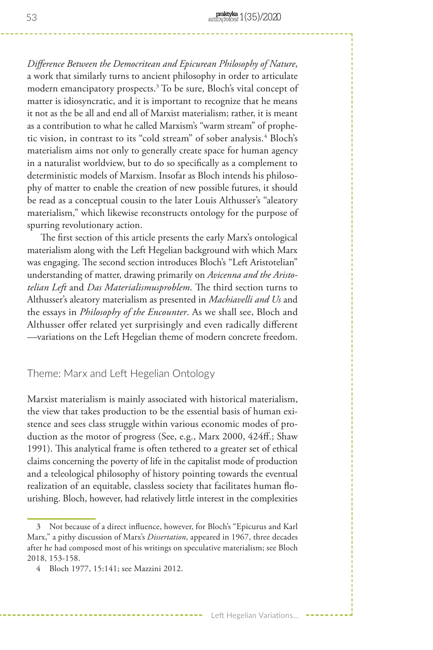*Difference Between the Democritean and Epicurean Philosophy of Nature*, a work that similarly turns to ancient philosophy in order to articulate modern emancipatory prospects.3 To be sure, Bloch's vital concept of matter is idiosyncratic, and it is important to recognize that he means it not as the be all and end all of Marxist materialism; rather, it is meant as a contribution to what he called Marxism's "warm stream" of prophetic vision, in contrast to its "cold stream" of sober analysis.<sup>4</sup> Bloch's materialism aims not only to generally create space for human agency in a naturalist worldview, but to do so specifically as a complement to deterministic models of Marxism. Insofar as Bloch intends his philosophy of matter to enable the creation of new possible futures, it should be read as a conceptual cousin to the later Louis Althusser's "aleatory materialism," which likewise reconstructs ontology for the purpose of spurring revolutionary action.

The first section of this article presents the early Marx's ontological materialism along with the Left Hegelian background with which Marx was engaging. The second section introduces Bloch's "Left Aristotelian" understanding of matter, drawing primarily on *Avicenna and the Aristotelian Left* and *Das Materialismusproblem*. The third section turns to Althusser's aleatory materialism as presented in *Machiavelli and Us* and the essays in *Philosophy of the Encounter*. As we shall see, Bloch and Althusser offer related yet surprisingly and even radically different —variations on the Left Hegelian theme of modern concrete freedom.

## Theme: Marx and Left Hegelian Ontology

Marxist materialism is mainly associated with historical materialism, the view that takes production to be the essential basis of human existence and sees class struggle within various economic modes of production as the motor of progress (See, e.g., Marx 2000, 424ff.; Shaw 1991). This analytical frame is often tethered to a greater set of ethical claims concerning the poverty of life in the capitalist mode of production and a teleological philosophy of history pointing towards the eventual realization of an equitable, classless society that facilitates human flourishing. Bloch, however, had relatively little interest in the complexities

<sup>3</sup> Not because of a direct influence, however, for Bloch's "Epicurus and Karl Marx," a pithy discussion of Marx's *Dissertation*, appeared in 1967, three decades after he had composed most of his writings on speculative materialism; see Bloch 2018, 153-158.

<sup>4</sup> Bloch 1977, 15:141; see Mazzini 2012.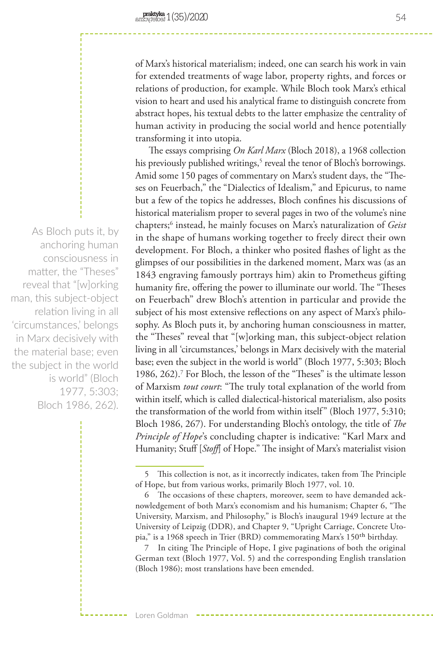of Marx's historical materialism; indeed, one can search his work in vain for extended treatments of wage labor, property rights, and forces or relations of production, for example. While Bloch took Marx's ethical vision to heart and used his analytical frame to distinguish concrete from abstract hopes, his textual debts to the latter emphasize the centrality of human activity in producing the social world and hence potentially transforming it into utopia.

The essays comprising *On Karl Marx* (Bloch 2018), a 1968 collection his previously published writings,<sup>5</sup> reveal the tenor of Bloch's borrowings. Amid some 150 pages of commentary on Marx's student days, the "Theses on Feuerbach," the "Dialectics of Idealism," and Epicurus, to name but a few of the topics he addresses, Bloch confines his discussions of historical materialism proper to several pages in two of the volume's nine chapters;6 instead, he mainly focuses on Marx's naturalization of *Geist*  in the shape of humans working together to freely direct their own development. For Bloch, a thinker who posited flashes of light as the glimpses of our possibilities in the darkened moment, Marx was (as an 1843 engraving famously portrays him) akin to Prometheus gifting humanity fire, offering the power to illuminate our world. The "Theses on Feuerbach" drew Bloch's attention in particular and provide the subject of his most extensive reflections on any aspect of Marx's philosophy. As Bloch puts it, by anchoring human consciousness in matter, the "Theses" reveal that "[w]orking man, this subject-object relation living in all 'circumstances,' belongs in Marx decisively with the material base; even the subject in the world is world" (Bloch 1977, 5:303; Bloch 1986, 262).<sup>7</sup> For Bloch, the lesson of the "Theses" is the ultimate lesson of Marxism *tout court*: "The truly total explanation of the world from within itself, which is called dialectical-historical materialism, also posits the transformation of the world from within itself" (Bloch 1977, 5:310; Bloch 1986, 267). For understanding Bloch's ontology, the title of *The Principle of Hope*'s concluding chapter is indicative: "Karl Marx and Humanity; Stuff [*Stoff*] of Hope." The insight of Marx's materialist vision

As Bloch puts it, by anchoring human consciousness in matter, the "Theses" reveal that "[w]orking man, this subject-object relation living in all 'circumstances,' belongs in Marx decisively with the material base; even the subject in the world is world" (Bloch 1977, 5:303; Bloch 1986, 262).

<sup>5</sup> This collection is not, as it incorrectly indicates, taken from The Principle of Hope, but from various works, primarily Bloch 1977, vol. 10.

<sup>6</sup> The occasions of these chapters, moreover, seem to have demanded acknowledgement of both Marx's economism and his humanism; Chapter 6, "The University, Marxism, and Philosophy," is Bloch's inaugural 1949 lecture at the University of Leipzig (DDR), and Chapter 9, "Upright Carriage, Concrete Utopia," is a 1968 speech in Trier (BRD) commemorating Marx's 150<sup>th</sup> birthday.

<sup>7</sup> In citing The Principle of Hope, I give paginations of both the original German text (Bloch 1977, Vol. 5) and the corresponding English translation (Bloch 1986); most translations have been emended.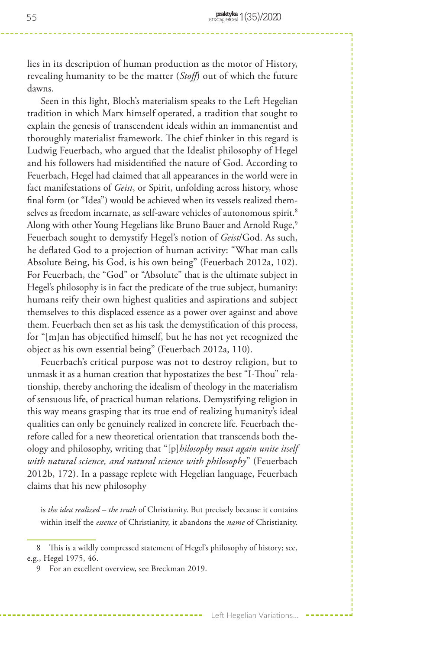lies in its description of human production as the motor of History, revealing humanity to be the matter (*Stoff*) out of which the future dawns.

Seen in this light, Bloch's materialism speaks to the Left Hegelian tradition in which Marx himself operated, a tradition that sought to explain the genesis of transcendent ideals within an immanentist and thoroughly materialist framework. The chief thinker in this regard is Ludwig Feuerbach, who argued that the Idealist philosophy of Hegel and his followers had misidentified the nature of God. According to Feuerbach, Hegel had claimed that all appearances in the world were in fact manifestations of *Geist*, or Spirit, unfolding across history, whose final form (or "Idea") would be achieved when its vessels realized themselves as freedom incarnate, as self-aware vehicles of autonomous spirit.<sup>8</sup> Along with other Young Hegelians like Bruno Bauer and Arnold Ruge,<sup>9</sup> Feuerbach sought to demystify Hegel's notion of *Geist*/God. As such, he deflated God to a projection of human activity: "What man calls Absolute Being, his God, is his own being" (Feuerbach 2012a, 102). For Feuerbach, the "God" or "Absolute" that is the ultimate subject in Hegel's philosophy is in fact the predicate of the true subject, humanity: humans reify their own highest qualities and aspirations and subject themselves to this displaced essence as a power over against and above them. Feuerbach then set as his task the demystification of this process, for "[m]an has objectified himself, but he has not yet recognized the object as his own essential being" (Feuerbach 2012a, 110).

Feuerbach's critical purpose was not to destroy religion, but to unmask it as a human creation that hypostatizes the best "I-Thou" relationship, thereby anchoring the idealism of theology in the materialism of sensuous life, of practical human relations. Demystifying religion in this way means grasping that its true end of realizing humanity's ideal qualities can only be genuinely realized in concrete life. Feuerbach therefore called for a new theoretical orientation that transcends both theology and philosophy, writing that "[p]*hilosophy must again unite itself with natural science, and natural science with philosophy*" (Feuerbach 2012b, 172). In a passage replete with Hegelian language, Feuerbach claims that his new philosophy

is *the idea realized – the truth* of Christianity. But precisely because it contains within itself the *essence* of Christianity, it abandons the *name* of Christianity.

<sup>8</sup> This is a wildly compressed statement of Hegel's philosophy of history; see, e.g., Hegel 1975, 46.

<sup>9</sup> For an excellent overview, see Breckman 2019.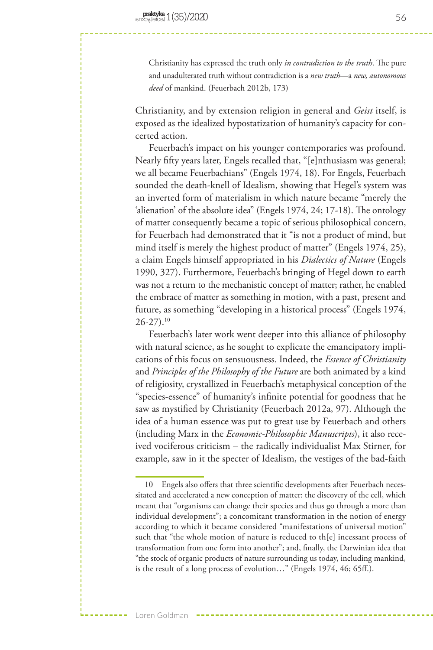Christianity has expressed the truth only *in contradiction to the truth*. The pure and unadulterated truth without contradiction is a *new truth*—a *new, autonomous deed* of mankind. (Feuerbach 2012b, 173)

Christianity, and by extension religion in general and *Geist* itself, is exposed as the idealized hypostatization of humanity's capacity for concerted action.

Feuerbach's impact on his younger contemporaries was profound. Nearly fifty years later, Engels recalled that, "[e]nthusiasm was general; we all became Feuerbachians" (Engels 1974, 18). For Engels, Feuerbach sounded the death-knell of Idealism, showing that Hegel's system was an inverted form of materialism in which nature became "merely the 'alienation' of the absolute idea" (Engels 1974, 24; 17-18). The ontology of matter consequently became a topic of serious philosophical concern, for Feuerbach had demonstrated that it "is not a product of mind, but mind itself is merely the highest product of matter" (Engels 1974, 25), a claim Engels himself appropriated in his *Dialectics of Nature* (Engels 1990, 327). Furthermore, Feuerbach's bringing of Hegel down to earth was not a return to the mechanistic concept of matter; rather, he enabled the embrace of matter as something in motion, with a past, present and future, as something "developing in a historical process" (Engels 1974,  $26-27$ ).<sup>10</sup>

Feuerbach's later work went deeper into this alliance of philosophy with natural science, as he sought to explicate the emancipatory implications of this focus on sensuousness. Indeed, the *Essence of Christianity* and *Principles of the Philosophy of the Future* are both animated by a kind of religiosity, crystallized in Feuerbach's metaphysical conception of the "species-essence" of humanity's infinite potential for goodness that he saw as mystified by Christianity (Feuerbach 2012a, 97). Although the idea of a human essence was put to great use by Feuerbach and others (including Marx in the *Economic-Philosophic Manuscripts*), it also received vociferous criticism – the radically individualist Max Stirner, for example, saw in it the specter of Idealism, the vestiges of the bad-faith

<sup>10</sup> Engels also offers that three scientific developments after Feuerbach necessitated and accelerated a new conception of matter: the discovery of the cell, which meant that "organisms can change their species and thus go through a more than individual development"; a concomitant transformation in the notion of energy according to which it became considered "manifestations of universal motion" such that "the whole motion of nature is reduced to th[e] incessant process of transformation from one form into another"; and, finally, the Darwinian idea that "the stock of organic products of nature surrounding us today, including mankind, is the result of a long process of evolution…" (Engels 1974, 46; 65ff.).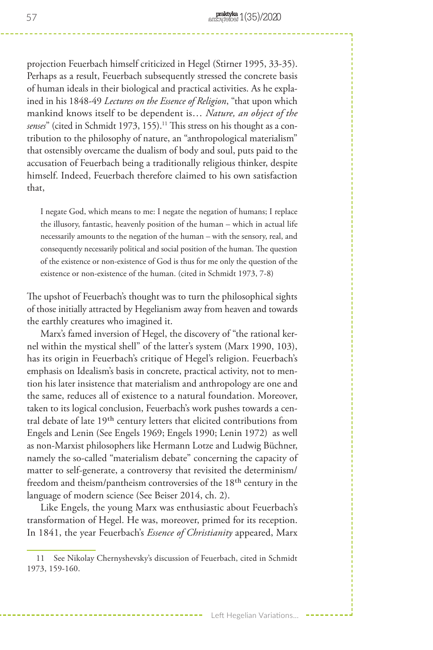projection Feuerbach himself criticized in Hegel (Stirner 1995, 33-35). Perhaps as a result, Feuerbach subsequently stressed the concrete basis of human ideals in their biological and practical activities. As he explained in his 1848-49 *Lectures on the Essence of Religion*, "that upon which mankind knows itself to be dependent is… *Nature, an object of the*  senses" (cited in Schmidt 1973, 155).<sup>11</sup> This stress on his thought as a contribution to the philosophy of nature, an "anthropological materialism" that ostensibly overcame the dualism of body and soul, puts paid to the accusation of Feuerbach being a traditionally religious thinker, despite himself. Indeed, Feuerbach therefore claimed to his own satisfaction that,

I negate God, which means to me: I negate the negation of humans; I replace the illusory, fantastic, heavenly position of the human – which in actual life necessarily amounts to the negation of the human – with the sensory, real, and consequently necessarily political and social position of the human. The question of the existence or non-existence of God is thus for me only the question of the existence or non-existence of the human. (cited in Schmidt 1973, 7-8)

The upshot of Feuerbach's thought was to turn the philosophical sights of those initially attracted by Hegelianism away from heaven and towards the earthly creatures who imagined it.

Marx's famed inversion of Hegel, the discovery of "the rational kernel within the mystical shell" of the latter's system (Marx 1990, 103), has its origin in Feuerbach's critique of Hegel's religion. Feuerbach's emphasis on Idealism's basis in concrete, practical activity, not to mention his later insistence that materialism and anthropology are one and the same, reduces all of existence to a natural foundation. Moreover, taken to its logical conclusion, Feuerbach's work pushes towards a central debate of late 19th century letters that elicited contributions from Engels and Lenin (See Engels 1969; Engels 1990; Lenin 1972) as well as non-Marxist philosophers like Hermann Lotze and Ludwig Büchner, namely the so-called "materialism debate" concerning the capacity of matter to self-generate, a controversy that revisited the determinism/ freedom and theism/pantheism controversies of the 18th century in the language of modern science (See Beiser 2014, ch. 2).

Like Engels, the young Marx was enthusiastic about Feuerbach's transformation of Hegel. He was, moreover, primed for its reception. In 1841, the year Feuerbach's *Essence of Christianity* appeared, Marx

<sup>11</sup> See Nikolay Chernyshevsky's discussion of Feuerbach, cited in Schmidt 1973, 159-160.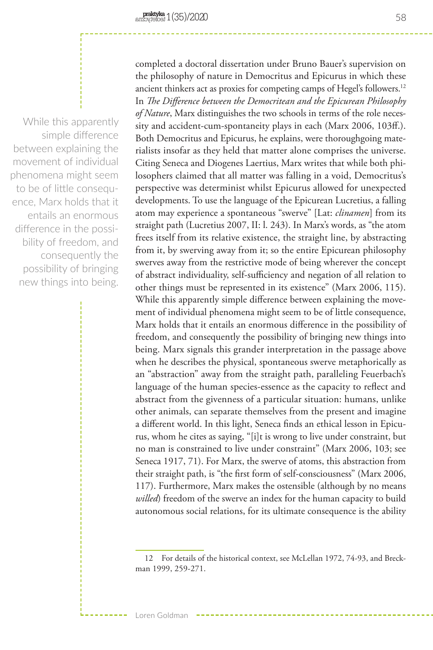While this apparently simple difference between explaining the movement of individual phenomena might seem to be of little consequence, Marx holds that it entails an enormous difference in the possibility of freedom, and consequently the possibility of bringing new things into being.

completed a doctoral dissertation under Bruno Bauer's supervision on the philosophy of nature in Democritus and Epicurus in which these ancient thinkers act as proxies for competing camps of Hegel's followers.12 In *The Difference between the Democritean and the Epicurean Philosophy of Nature*, Marx distinguishes the two schools in terms of the role necessity and accident-cum-spontaneity plays in each (Marx 2006, 103ff.). Both Democritus and Epicurus, he explains, were thoroughgoing materialists insofar as they held that matter alone comprises the universe. Citing Seneca and Diogenes Laertius, Marx writes that while both philosophers claimed that all matter was falling in a void, Democritus's perspective was determinist whilst Epicurus allowed for unexpected developments. To use the language of the Epicurean Lucretius, a falling atom may experience a spontaneous "swerve" [Lat: *clinamen*] from its straight path (Lucretius 2007, II: l. 243). In Marx's words, as "the atom frees itself from its relative existence, the straight line, by abstracting from it, by swerving away from it; so the entire Epicurean philosophy swerves away from the restrictive mode of being wherever the concept of abstract individuality, self-sufficiency and negation of all relation to other things must be represented in its existence" (Marx 2006, 115). While this apparently simple difference between explaining the movement of individual phenomena might seem to be of little consequence, Marx holds that it entails an enormous difference in the possibility of freedom, and consequently the possibility of bringing new things into being. Marx signals this grander interpretation in the passage above when he describes the physical, spontaneous swerve metaphorically as an "abstraction" away from the straight path, paralleling Feuerbach's language of the human species-essence as the capacity to reflect and abstract from the givenness of a particular situation: humans, unlike other animals, can separate themselves from the present and imagine a different world. In this light, Seneca finds an ethical lesson in Epicurus, whom he cites as saying, "[i]t is wrong to live under constraint, but no man is constrained to live under constraint" (Marx 2006, 103; see Seneca 1917, 71). For Marx, the swerve of atoms, this abstraction from their straight path, is "the first form of self-consciousness" (Marx 2006, 117). Furthermore, Marx makes the ostensible (although by no means *willed*) freedom of the swerve an index for the human capacity to build autonomous social relations, for its ultimate consequence is the ability

Loren Goldman

<sup>12</sup> For details of the historical context, see McLellan 1972, 74-93, and Breckman 1999, 259-271.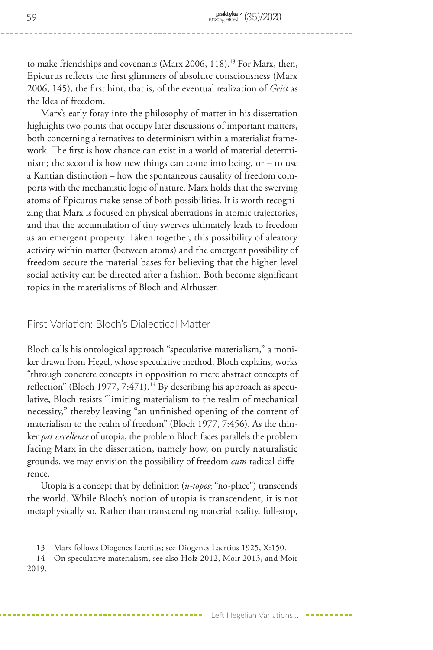to make friendships and covenants (Marx 2006, 118).<sup>13</sup> For Marx, then, Epicurus reflects the first glimmers of absolute consciousness (Marx 2006, 145), the first hint, that is, of the eventual realization of *Geist* as the Idea of freedom.

Marx's early foray into the philosophy of matter in his dissertation highlights two points that occupy later discussions of important matters, both concerning alternatives to determinism within a materialist framework. The first is how chance can exist in a world of material determinism; the second is how new things can come into being, or – to use a Kantian distinction – how the spontaneous causality of freedom comports with the mechanistic logic of nature. Marx holds that the swerving atoms of Epicurus make sense of both possibilities. It is worth recognizing that Marx is focused on physical aberrations in atomic trajectories, and that the accumulation of tiny swerves ultimately leads to freedom as an emergent property. Taken together, this possibility of aleatory activity within matter (between atoms) and the emergent possibility of freedom secure the material bases for believing that the higher-level social activity can be directed after a fashion. Both become significant topics in the materialisms of Bloch and Althusser.

## First Variation: Bloch's Dialectical Matter

Bloch calls his ontological approach "speculative materialism," a moniker drawn from Hegel, whose speculative method, Bloch explains, works "through concrete concepts in opposition to mere abstract concepts of reflection" (Bloch 1977, 7:471).<sup>14</sup> By describing his approach as speculative, Bloch resists "limiting materialism to the realm of mechanical necessity," thereby leaving "an unfinished opening of the content of materialism to the realm of freedom" (Bloch 1977, 7:456). As the thinker *par excellence* of utopia, the problem Bloch faces parallels the problem facing Marx in the dissertation, namely how, on purely naturalistic grounds, we may envision the possibility of freedom *cum* radical difference.

Utopia is a concept that by definition (*u-topos*; "no-place") transcends the world. While Bloch's notion of utopia is transcendent, it is not metaphysically so. Rather than transcending material reality, full-stop,

<sup>13</sup> Marx follows Diogenes Laertius; see Diogenes Laertius 1925, X:150.

<sup>14</sup> On speculative materialism, see also Holz 2012, Moir 2013, and Moir 2019.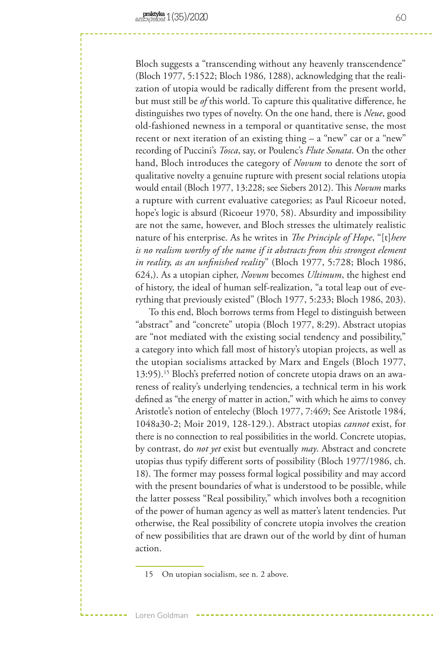Bloch suggests a "transcending without any heavenly transcendence" (Bloch 1977, 5:1522; Bloch 1986, 1288), acknowledging that the realization of utopia would be radically different from the present world, but must still be *of* this world. To capture this qualitative difference, he distinguishes two types of novelty. On the one hand, there is *Neue*, good old-fashioned newness in a temporal or quantitative sense, the most recent or next iteration of an existing thing – a "new" car or a "new" recording of Puccini's *Tosca*, say, or Poulenc's *Flute Sonata*. On the other hand, Bloch introduces the category of *Novum* to denote the sort of qualitative novelty a genuine rupture with present social relations utopia would entail (Bloch 1977, 13:228; see Siebers 2012). This *Novum* marks a rupture with current evaluative categories; as Paul Ricoeur noted, hope's logic is absurd (Ricoeur 1970, 58). Absurdity and impossibility are not the same, however, and Bloch stresses the ultimately realistic nature of his enterprise. As he writes in *The Principle of Hope*, "[t]*here is no realism worthy of the name if it abstracts from this strongest element in reality, as an unfinished reality*" (Bloch 1977, 5:728; Bloch 1986, 624,). As a utopian cipher, *Novum* becomes *Ultimum*, the highest end of history, the ideal of human self-realization, "a total leap out of everything that previously existed" (Bloch 1977, 5:233; Bloch 1986, 203).

To this end, Bloch borrows terms from Hegel to distinguish between "abstract" and "concrete" utopia (Bloch 1977, 8:29). Abstract utopias are "not mediated with the existing social tendency and possibility," a category into which fall most of history's utopian projects, as well as the utopian socialisms attacked by Marx and Engels (Bloch 1977, 13:95).15 Bloch's preferred notion of concrete utopia draws on an awareness of reality's underlying tendencies, a technical term in his work defined as "the energy of matter in action," with which he aims to convey Aristotle's notion of entelechy (Bloch 1977, 7:469; See Aristotle 1984, 1048a30-2; Moir 2019, 128-129.). Abstract utopias *cannot* exist, for there is no connection to real possibilities in the world. Concrete utopias, by contrast, do *not yet* exist but eventually *may*. Abstract and concrete utopias thus typify different sorts of possibility (Bloch 1977/1986, ch. 18). The former may possess formal logical possibility and may accord with the present boundaries of what is understood to be possible, while the latter possess "Real possibility," which involves both a recognition of the power of human agency as well as matter's latent tendencies. Put otherwise, the Real possibility of concrete utopia involves the creation of new possibilities that are drawn out of the world by dint of human action.

Loren Goldman

<sup>15</sup> On utopian socialism, see n. 2 above.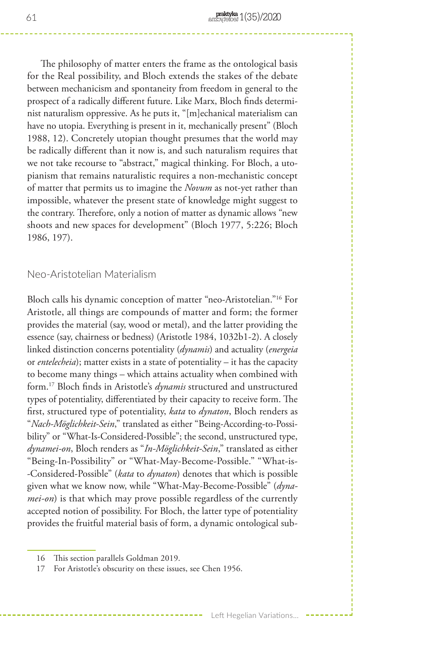The philosophy of matter enters the frame as the ontological basis for the Real possibility, and Bloch extends the stakes of the debate between mechanicism and spontaneity from freedom in general to the prospect of a radically different future. Like Marx, Bloch finds determinist naturalism oppressive. As he puts it, "[m]echanical materialism can have no utopia. Everything is present in it, mechanically present" (Bloch 1988, 12). Concretely utopian thought presumes that the world may be radically different than it now is, and such naturalism requires that we not take recourse to "abstract," magical thinking. For Bloch, a utopianism that remains naturalistic requires a non-mechanistic concept of matter that permits us to imagine the *Novum* as not-yet rather than impossible, whatever the present state of knowledge might suggest to the contrary. Therefore, only a notion of matter as dynamic allows "new shoots and new spaces for development" (Bloch 1977, 5:226; Bloch 1986, 197).

## Neo-Aristotelian Materialism

Bloch calls his dynamic conception of matter "neo-Aristotelian."16 For Aristotle, all things are compounds of matter and form; the former provides the material (say, wood or metal), and the latter providing the essence (say, chairness or bedness) (Aristotle 1984, 1032b1-2). A closely linked distinction concerns potentiality (*dynamis*) and actuality (*energeia* or *entelecheia*); matter exists in a state of potentiality – it has the capacity to become many things – which attains actuality when combined with form.17 Bloch finds in Aristotle's *dynamis* structured and unstructured types of potentiality, differentiated by their capacity to receive form. The first, structured type of potentiality, *kata* to *dynaton*, Bloch renders as "*Nach-Möglichkeit-Sein*," translated as either "Being-According-to-Possibility" or "What-Is-Considered-Possible"; the second, unstructured type, *dynamei-on*, Bloch renders as "*In-Möglichkeit-Sein*," translated as either "Being-In-Possibility" or "What-May-Become-Possible." "What-is- -Considered-Possible" (*kata* to *dynaton*) denotes that which is possible given what we know now, while "What-May-Become-Possible" (*dynamei-on*) is that which may prove possible regardless of the currently accepted notion of possibility. For Bloch, the latter type of potentiality provides the fruitful material basis of form, a dynamic ontological sub-

<sup>16</sup> This section parallels Goldman 2019.

<sup>17</sup> For Aristotle's obscurity on these issues, see Chen 1956.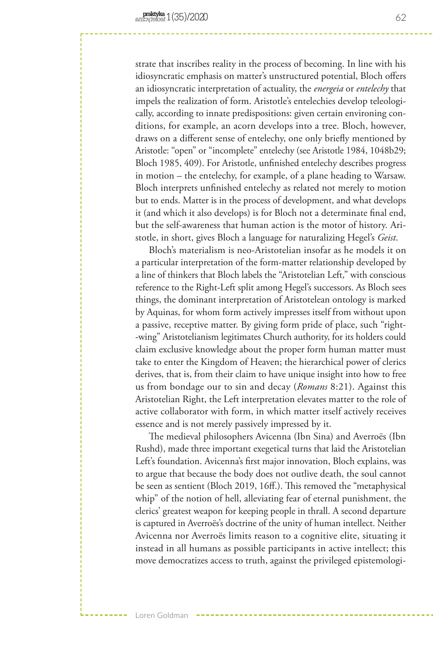strate that inscribes reality in the process of becoming. In line with his idiosyncratic emphasis on matter's unstructured potential, Bloch offers an idiosyncratic interpretation of actuality, the *energeia* or *entelechy* that impels the realization of form. Aristotle's entelechies develop teleologically, according to innate predispositions: given certain environing conditions, for example, an acorn develops into a tree. Bloch, however, draws on a different sense of entelechy, one only briefly mentioned by Aristotle: "open" or "incomplete" entelechy (see Aristotle 1984, 1048b29; Bloch 1985, 409). For Aristotle, unfinished entelechy describes progress in motion – the entelechy, for example, of a plane heading to Warsaw. Bloch interprets unfinished entelechy as related not merely to motion but to ends. Matter is in the process of development, and what develops it (and which it also develops) is for Bloch not a determinate final end, but the self-awareness that human action is the motor of history. Aristotle, in short, gives Bloch a language for naturalizing Hegel's *Geist*.

Bloch's materialism is neo-Aristotelian insofar as he models it on a particular interpretation of the form-matter relationship developed by a line of thinkers that Bloch labels the "Aristotelian Left," with conscious reference to the Right-Left split among Hegel's successors. As Bloch sees things, the dominant interpretation of Aristotelean ontology is marked by Aquinas, for whom form actively impresses itself from without upon a passive, receptive matter. By giving form pride of place, such "right- -wing" Aristotelianism legitimates Church authority, for its holders could claim exclusive knowledge about the proper form human matter must take to enter the Kingdom of Heaven; the hierarchical power of clerics derives, that is, from their claim to have unique insight into how to free us from bondage our to sin and decay (*Romans* 8:21). Against this Aristotelian Right, the Left interpretation elevates matter to the role of active collaborator with form, in which matter itself actively receives essence and is not merely passively impressed by it.

The medieval philosophers Avicenna (Ibn Sina) and Averroës (Ibn Rushd), made three important exegetical turns that laid the Aristotelian Left's foundation. Avicenna's first major innovation, Bloch explains, was to argue that because the body does not outlive death, the soul cannot be seen as sentient (Bloch 2019, 16ff.). This removed the "metaphysical whip" of the notion of hell, alleviating fear of eternal punishment, the clerics' greatest weapon for keeping people in thrall. A second departure is captured in Averroës's doctrine of the unity of human intellect. Neither Avicenna nor Averroës limits reason to a cognitive elite, situating it instead in all humans as possible participants in active intellect; this move democratizes access to truth, against the privileged epistemologi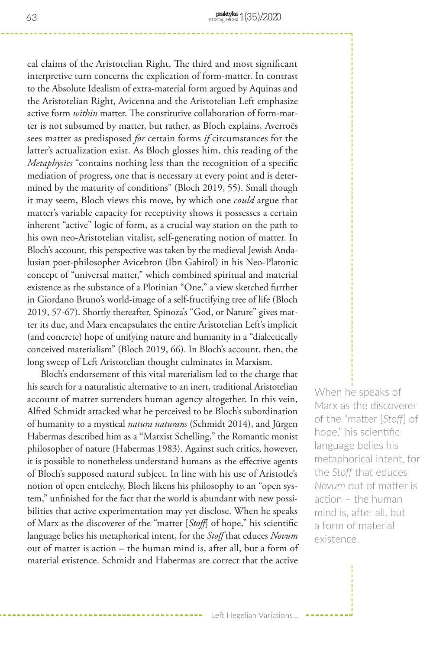cal claims of the Aristotelian Right. The third and most significant interpretive turn concerns the explication of form-matter. In contrast to the Absolute Idealism of extra-material form argued by Aquinas and the Aristotelian Right, Avicenna and the Aristotelian Left emphasize active form *within* matter. The constitutive collaboration of form-matter is not subsumed by matter, but rather, as Bloch explains, Averroës sees matter as predisposed *for* certain forms *if* circumstances for the latter's actualization exist. As Bloch glosses him, this reading of the *Metaphysics* "contains nothing less than the recognition of a specific mediation of progress, one that is necessary at every point and is determined by the maturity of conditions" (Bloch 2019, 55). Small though it may seem, Bloch views this move, by which one *could* argue that matter's variable capacity for receptivity shows it possesses a certain inherent "active" logic of form, as a crucial way station on the path to his own neo-Aristotelian vitalist, self-generating notion of matter. In Bloch's account, this perspective was taken by the medieval Jewish Andalusian poet-philosopher Avicebron (Ibn Gabirol) in his Neo-Platonic concept of "universal matter," which combined spiritual and material existence as the substance of a Plotinian "One," a view sketched further in Giordano Bruno's world-image of a self-fructifying tree of life (Bloch 2019, 57-67). Shortly thereafter, Spinoza's "God, or Nature" gives matter its due, and Marx encapsulates the entire Aristotelian Left's implicit (and concrete) hope of unifying nature and humanity in a "dialectically conceived materialism" (Bloch 2019, 66). In Bloch's account, then, the long sweep of Left Aristotelian thought culminates in Marxism.

Bloch's endorsement of this vital materialism led to the charge that his search for a naturalistic alternative to an inert, traditional Aristotelian account of matter surrenders human agency altogether. In this vein, Alfred Schmidt attacked what he perceived to be Bloch's subordination of humanity to a mystical *natura naturans* (Schmidt 2014), and Jürgen Habermas described him as a "Marxist Schelling," the Romantic monist philosopher of nature (Habermas 1983). Against such critics, however, it is possible to nonetheless understand humans as the effective agents of Bloch's supposed natural subject. In line with his use of Aristotle's notion of open entelechy, Bloch likens his philosophy to an "open system," unfinished for the fact that the world is abundant with new possibilities that active experimentation may yet disclose. When he speaks of Marx as the discoverer of the "matter [*Stoff*] of hope," his scientific language belies his metaphorical intent, for the *Stoff* that educes *Novum* out of matter is action – the human mind is, after all, but a form of material existence. Schmidt and Habermas are correct that the active

When he speaks of Marx as the discoverer of the "matter [*Stoff*] of hope," his scientific language belies his metaphorical intent, for the *Stoff* that educes *Novum* out of matter is action – the human mind is, after all, but a form of material existence.

Left Hegelian Variations...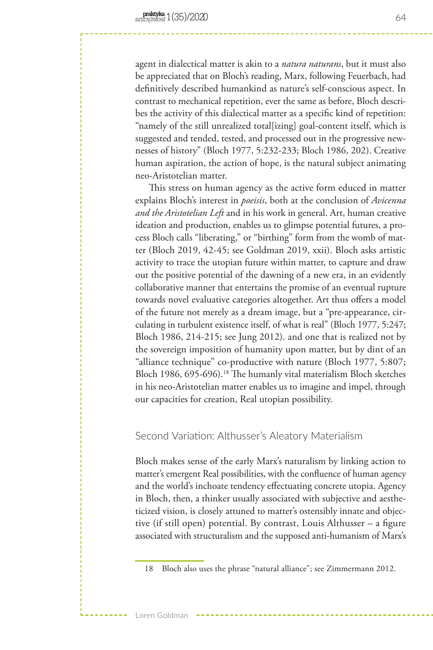agent in dialectical matter is akin to a *natura naturans*, but it must also be appreciated that on Bloch's reading, Marx, following Feuerbach, had definitively described humankind as nature's self-conscious aspect. In contrast to mechanical repetition, ever the same as before, Bloch describes the activity of this dialectical matter as a specific kind of repetition: "namely of the still unrealized total[izing] goal-content itself, which is suggested and tended, tested, and processed out in the progressive newnesses of history" (Bloch 1977, 5:232-233; Bloch 1986, 202). Creative human aspiration, the action of hope, is the natural subject animating neo-Aristotelian matter.

This stress on human agency as the active form educed in matter explains Bloch's interest in *poeisis*, both at the conclusion of *Avicenna and the Aristotelian Left* and in his work in general. Art, human creative ideation and production, enables us to glimpse potential futures, a process Bloch calls "liberating," or "birthing" form from the womb of matter (Bloch 2019, 42-45; see Goldman 2019, xxii). Bloch asks artistic activity to trace the utopian future within matter, to capture and draw out the positive potential of the dawning of a new era, in an evidently collaborative manner that entertains the promise of an eventual rupture towards novel evaluative categories altogether. Art thus offers a model of the future not merely as a dream image, but a "pre-appearance, circulating in turbulent existence itself, of what is real" (Bloch 1977, 5:247; Bloch 1986, 214-215; see Jung 2012). and one that is realized not by the sovereign imposition of humanity upon matter, but by dint of an "alliance technique" co-productive with nature (Bloch 1977, 5:807; Bloch 1986, 695-696).<sup>18</sup> The humanly vital materialism Bloch sketches in his neo-Aristotelian matter enables us to imagine and impel, through our capacities for creation, Real utopian possibility.

## Second Variation: Althusser's Aleatory Materialism

Bloch makes sense of the early Marx's naturalism by linking action to matter's emergent Real possibilities, with the confluence of human agency and the world's inchoate tendency effectuating concrete utopia. Agency in Bloch, then, a thinker usually associated with subjective and aestheticized vision, is closely attuned to matter's ostensibly innate and objective (if still open) potential. By contrast, Louis Althusser – a figure associated with structuralism and the supposed anti-humanism of Marx's

<sup>18</sup> Bloch also uses the phrase "natural alliance"; see Zimmermann 2012.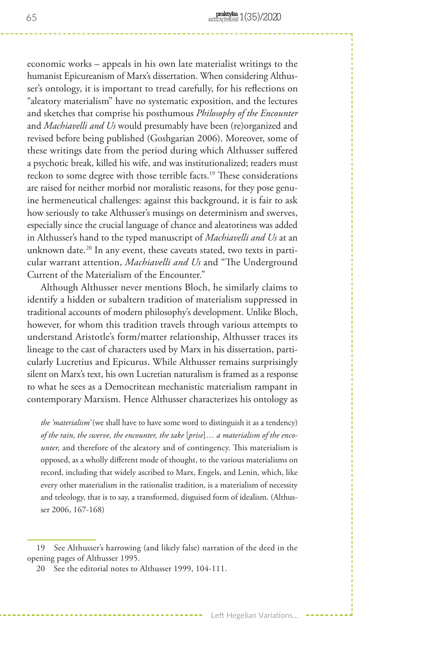economic works – appeals in his own late materialist writings to the humanist Epicureanism of Marx's dissertation. When considering Althusser's ontology, it is important to tread carefully, for his reflections on "aleatory materialism" have no systematic exposition, and the lectures and sketches that comprise his posthumous *Philosophy of the Encounter*  and *Machiavelli and Us* would presumably have been (re)organized and revised before being published (Goshgarian 2006). Moreover, some of these writings date from the period during which Althusser suffered a psychotic break, killed his wife, and was institutionalized; readers must reckon to some degree with those terrible facts.<sup>19</sup> These considerations are raised for neither morbid nor moralistic reasons, for they pose genuine hermeneutical challenges: against this background, it is fair to ask how seriously to take Althusser's musings on determinism and swerves, especially since the crucial language of chance and aleatoriness was added in Althusser's hand to the typed manuscript of *Machiavelli and Us* at an unknown date.<sup>20</sup> In any event, these caveats stated, two texts in particular warrant attention, *Machiavelli and Us* and "The Underground Current of the Materialism of the Encounter."

Although Althusser never mentions Bloch, he similarly claims to identify a hidden or subaltern tradition of materialism suppressed in traditional accounts of modern philosophy's development. Unlike Bloch, however, for whom this tradition travels through various attempts to understand Aristotle's form/matter relationship, Althusser traces its lineage to the cast of characters used by Marx in his dissertation, particularly Lucretius and Epicurus. While Althusser remains surprisingly silent on Marx's text, his own Lucretian naturalism is framed as a response to what he sees as a Democritean mechanistic materialism rampant in contemporary Marxism. Hence Althusser characterizes his ontology as

*the 'materialism'* (we shall have to have some word to distinguish it as a tendency) *of the rain, the swerve, the encounter, the take* [*prise*]… *a materialism of the encounter,* and therefore of the aleatory and of contingency. This materialism is opposed, as a wholly different mode of thought, to the various materialisms on record, including that widely ascribed to Marx, Engels, and Lenin, which, like every other materialism in the rationalist tradition, is a materialism of necessity and teleology, that is to say, a transformed, disguised form of idealism. (Althusser 2006, 167-168)

<sup>19</sup> See Althusser's harrowing (and likely false) narration of the deed in the opening pages of Althusser 1995.

<sup>20</sup> See the editorial notes to Althusser 1999, 104-111.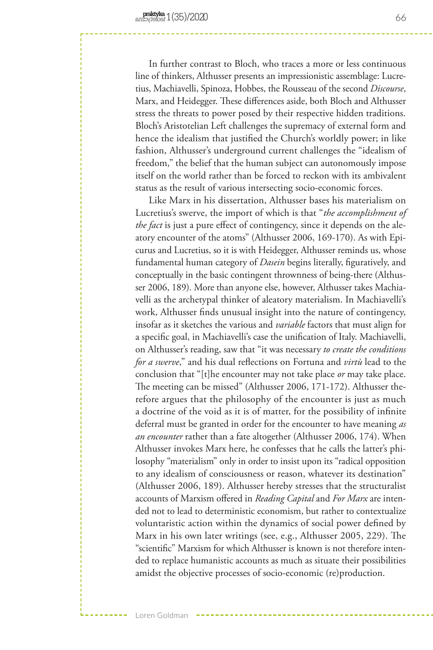In further contrast to Bloch, who traces a more or less continuous line of thinkers, Althusser presents an impressionistic assemblage: Lucretius, Machiavelli, Spinoza, Hobbes, the Rousseau of the second *Discourse*, Marx, and Heidegger. These differences aside, both Bloch and Althusser stress the threats to power posed by their respective hidden traditions. Bloch's Aristotelian Left challenges the supremacy of external form and hence the idealism that justified the Church's worldly power; in like fashion, Althusser's underground current challenges the "idealism of freedom," the belief that the human subject can autonomously impose itself on the world rather than be forced to reckon with its ambivalent status as the result of various intersecting socio-economic forces.

Like Marx in his dissertation, Althusser bases his materialism on Lucretius's swerve, the import of which is that "*the accomplishment of the fact* is just a pure effect of contingency, since it depends on the aleatory encounter of the atoms" (Althusser 2006, 169-170). As with Epicurus and Lucretius, so it is with Heidegger, Althusser reminds us, whose fundamental human category of *Dasein* begins literally, figuratively, and conceptually in the basic contingent thrownness of being-there (Althusser 2006, 189). More than anyone else, however, Althusser takes Machiavelli as the archetypal thinker of aleatory materialism. In Machiavelli's work, Althusser finds unusual insight into the nature of contingency, insofar as it sketches the various and *variable* factors that must align for a specific goal, in Machiavelli's case the unification of Italy. Machiavelli, on Althusser's reading, saw that "it was necessary *to create the conditions for a swerve*," and his dual reflections on Fortuna and *virtù* lead to the conclusion that "[t]he encounter may not take place *or* may take place. The meeting can be missed" (Althusser 2006, 171-172). Althusser therefore argues that the philosophy of the encounter is just as much a doctrine of the void as it is of matter, for the possibility of infinite deferral must be granted in order for the encounter to have meaning *as an encounter* rather than a fate altogether (Althusser 2006, 174). When Althusser invokes Marx here, he confesses that he calls the latter's philosophy "materialism" only in order to insist upon its "radical opposition to any idealism of consciousness or reason, whatever its destination" (Althusser 2006, 189). Althusser hereby stresses that the structuralist accounts of Marxism offered in *Reading Capital* and *For Marx* are intended not to lead to deterministic economism, but rather to contextualize voluntaristic action within the dynamics of social power defined by Marx in his own later writings (see, e.g., Althusser 2005, 229). The "scientific" Marxism for which Althusser is known is not therefore intended to replace humanistic accounts as much as situate their possibilities amidst the objective processes of socio-economic (re)production.

Loren Goldman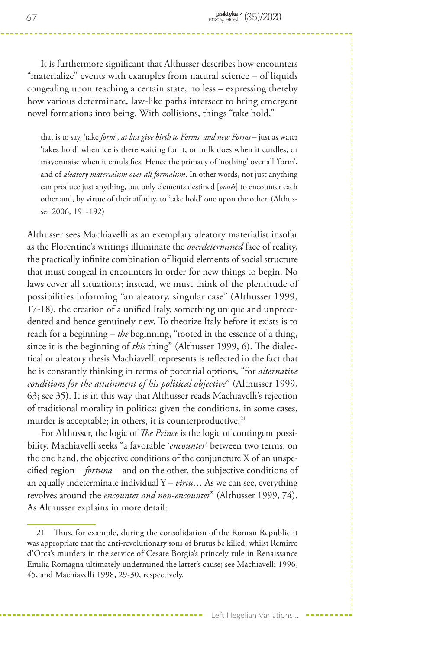It is furthermore significant that Althusser describes how encounters "materialize" events with examples from natural science – of liquids congealing upon reaching a certain state, no less – expressing thereby how various determinate, law-like paths intersect to bring emergent novel formations into being. With collisions, things "take hold,"

that is to say, 'take *form*', *at last give birth to Forms, and new Forms* – just as water 'takes hold' when ice is there waiting for it, or milk does when it curdles, or mayonnaise when it emulsifies. Hence the primacy of 'nothing' over all 'form', and of *aleatory materialism over all formalism*. In other words, not just anything can produce just anything, but only elements destined [*voués*] to encounter each other and, by virtue of their affinity, to 'take hold' one upon the other. (Althusser 2006, 191-192)

Althusser sees Machiavelli as an exemplary aleatory materialist insofar as the Florentine's writings illuminate the *overdetermined* face of reality, the practically infinite combination of liquid elements of social structure that must congeal in encounters in order for new things to begin. No laws cover all situations; instead, we must think of the plentitude of possibilities informing "an aleatory, singular case" (Althusser 1999, 17-18), the creation of a unified Italy, something unique and unprecedented and hence genuinely new. To theorize Italy before it exists is to reach for a beginning – *the* beginning, "rooted in the essence of a thing, since it is the beginning of *this* thing" (Althusser 1999, 6). The dialectical or aleatory thesis Machiavelli represents is reflected in the fact that he is constantly thinking in terms of potential options, "for *alternative conditions for the attainment of his political objective*" (Althusser 1999, 63; see 35). It is in this way that Althusser reads Machiavelli's rejection of traditional morality in politics: given the conditions, in some cases, murder is acceptable; in others, it is counterproductive.<sup>21</sup>

For Althusser, the logic of *The Prince* is the logic of contingent possibility. Machiavelli seeks "a favorable '*encounter*' between two terms: on the one hand, the objective conditions of the conjuncture X of an unspecified region – *fortuna* – and on the other, the subjective conditions of an equally indeterminate individual Y – *virtù*… As we can see, everything revolves around the *encounter and non-encounter*" (Althusser 1999, 74). As Althusser explains in more detail:

<sup>21</sup> Thus, for example, during the consolidation of the Roman Republic it was appropriate that the anti-revolutionary sons of Brutus be killed, whilst Remirro d'Orca's murders in the service of Cesare Borgia's princely rule in Renaissance Emilia Romagna ultimately undermined the latter's cause; see Machiavelli 1996, 45, and Machiavelli 1998, 29-30, respectively.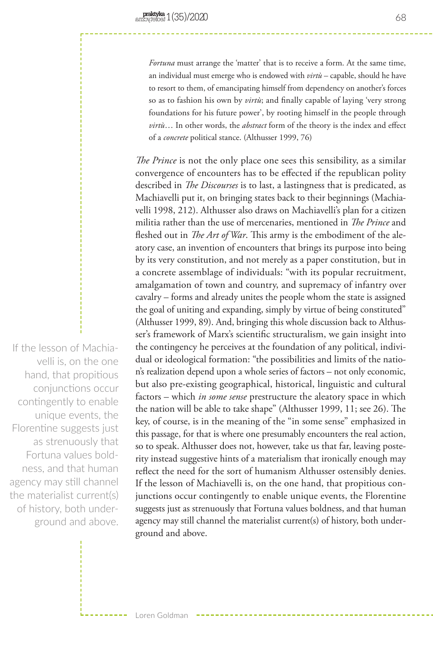*Fortuna* must arrange the 'matter' that is to receive a form. At the same time, an individual must emerge who is endowed with *virtù* – capable, should he have to resort to them, of emancipating himself from dependency on another's forces so as to fashion his own by *virtù*; and finally capable of laying 'very strong foundations for his future power', by rooting himself in the people through *virtù*… In other words, the *abstract* form of the theory is the index and effect of a *concrete* political stance. (Althusser 1999, 76)

*The Prince* is not the only place one sees this sensibility, as a similar convergence of encounters has to be effected if the republican polity described in *The Discourses* is to last, a lastingness that is predicated, as Machiavelli put it, on bringing states back to their beginnings (Machiavelli 1998, 212). Althusser also draws on Machiavelli's plan for a citizen militia rather than the use of mercenaries, mentioned in *The Prince* and fleshed out in *The Art of War*. This army is the embodiment of the aleatory case, an invention of encounters that brings its purpose into being by its very constitution, and not merely as a paper constitution, but in a concrete assemblage of individuals: "with its popular recruitment, amalgamation of town and country, and supremacy of infantry over cavalry – forms and already unites the people whom the state is assigned the goal of uniting and expanding, simply by virtue of being constituted" (Althusser 1999, 89). And, bringing this whole discussion back to Althusser's framework of Marx's scientific structuralism, we gain insight into the contingency he perceives at the foundation of any political, individual or ideological formation: "the possibilities and limits of the nation's realization depend upon a whole series of factors – not only economic, but also pre-existing geographical, historical, linguistic and cultural factors – which *in some sense* prestructure the aleatory space in which the nation will be able to take shape" (Althusser 1999, 11; see 26). The key, of course, is in the meaning of the "in some sense" emphasized in this passage, for that is where one presumably encounters the real action, so to speak. Althusser does not, however, take us that far, leaving posterity instead suggestive hints of a materialism that ironically enough may reflect the need for the sort of humanism Althusser ostensibly denies. If the lesson of Machiavelli is, on the one hand, that propitious conjunctions occur contingently to enable unique events, the Florentine suggests just as strenuously that Fortuna values boldness, and that human agency may still channel the materialist current(s) of history, both underground and above.

If the lesson of Machiavelli is, on the one hand, that propitious conjunctions occur contingently to enable unique events, the Florentine suggests just as strenuously that Fortuna values boldness, and that human agency may still channel the materialist current(s) of history, both underground and above.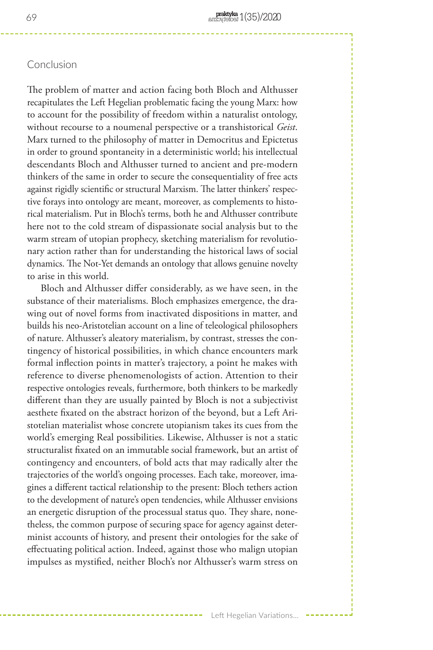# Conclusion

The problem of matter and action facing both Bloch and Althusser recapitulates the Left Hegelian problematic facing the young Marx: how to account for the possibility of freedom within a naturalist ontology, without recourse to a noumenal perspective or a transhistorical *Geist*. Marx turned to the philosophy of matter in Democritus and Epictetus in order to ground spontaneity in a deterministic world; his intellectual descendants Bloch and Althusser turned to ancient and pre-modern thinkers of the same in order to secure the consequentiality of free acts against rigidly scientific or structural Marxism. The latter thinkers' respective forays into ontology are meant, moreover, as complements to historical materialism. Put in Bloch's terms, both he and Althusser contribute here not to the cold stream of dispassionate social analysis but to the warm stream of utopian prophecy, sketching materialism for revolutionary action rather than for understanding the historical laws of social dynamics. The Not-Yet demands an ontology that allows genuine novelty to arise in this world.

Bloch and Althusser differ considerably, as we have seen, in the substance of their materialisms. Bloch emphasizes emergence, the drawing out of novel forms from inactivated dispositions in matter, and builds his neo-Aristotelian account on a line of teleological philosophers of nature. Althusser's aleatory materialism, by contrast, stresses the contingency of historical possibilities, in which chance encounters mark formal inflection points in matter's trajectory, a point he makes with reference to diverse phenomenologists of action. Attention to their respective ontologies reveals, furthermore, both thinkers to be markedly different than they are usually painted by Bloch is not a subjectivist aesthete fixated on the abstract horizon of the beyond, but a Left Aristotelian materialist whose concrete utopianism takes its cues from the world's emerging Real possibilities. Likewise, Althusser is not a static structuralist fixated on an immutable social framework, but an artist of contingency and encounters, of bold acts that may radically alter the trajectories of the world's ongoing processes. Each take, moreover, imagines a different tactical relationship to the present: Bloch tethers action to the development of nature's open tendencies, while Althusser envisions an energetic disruption of the processual status quo. They share, nonetheless, the common purpose of securing space for agency against determinist accounts of history, and present their ontologies for the sake of effectuating political action. Indeed, against those who malign utopian impulses as mystified, neither Bloch's nor Althusser's warm stress on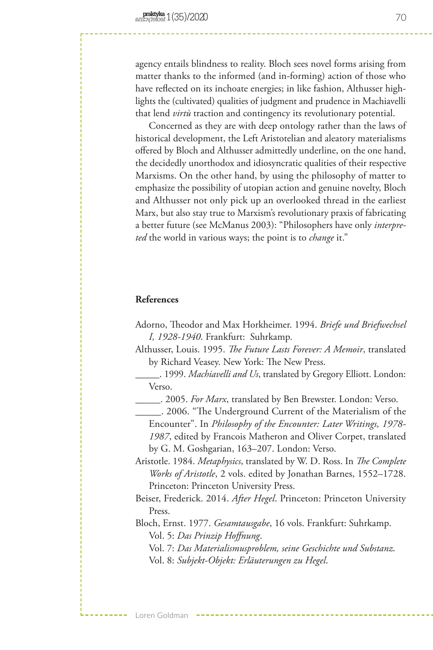agency entails blindness to reality. Bloch sees novel forms arising from matter thanks to the informed (and in-forming) action of those who have reflected on its inchoate energies; in like fashion, Althusser highlights the (cultivated) qualities of judgment and prudence in Machiavelli that lend *virtù* traction and contingency its revolutionary potential.

Concerned as they are with deep ontology rather than the laws of historical development, the Left Aristotelian and aleatory materialisms offered by Bloch and Althusser admittedly underline, on the one hand, the decidedly unorthodox and idiosyncratic qualities of their respective Marxisms. On the other hand, by using the philosophy of matter to emphasize the possibility of utopian action and genuine novelty, Bloch and Althusser not only pick up an overlooked thread in the earliest Marx, but also stay true to Marxism's revolutionary praxis of fabricating a better future (see McManus 2003): "Philosophers have only *interpreted* the world in various ways; the point is to *change* it."

#### **References**

- Adorno, Theodor and Max Horkheimer. 1994. *Briefe und Briefwechsel I, 1928-1940*. Frankfurt: Suhrkamp.
- Althusser, Louis. 1995. *The Future Lasts Forever: A Memoir*, translated by Richard Veasey. New York: The New Press.
	- \_\_\_\_\_. 1999. *Machiavelli and Us*, translated by Gregory Elliott. London: Verso.
	- \_\_\_\_\_. 2005. *For Marx*, translated by Ben Brewster. London: Verso.
	- \_\_\_\_\_. 2006. "The Underground Current of the Materialism of the Encounter". In *Philosophy of the Encounter: Later Writings, 1978- 1987*, edited by Francois Matheron and Oliver Corpet, translated by G. M. Goshgarian, 163–207. London: Verso.
- Aristotle. 1984. *Metaphysics*, translated by W. D. Ross. In *The Complete Works of Aristotle*, 2 vols. edited by Jonathan Barnes, 1552–1728. Princeton: Princeton University Press.
- Beiser, Frederick. 2014. *After Hegel*. Princeton: Princeton University Press.

Bloch, Ernst. 1977. *Gesamtausgabe*, 16 vols. Frankfurt: Suhrkamp. Vol. 5: *Das Prinzip Hoffnung*.

Vol. 7: *Das Materialismusproblem, seine Geschichte und Substanz*. Vol. 8: *Subjekt-Objekt: Erläuterungen zu Hegel*.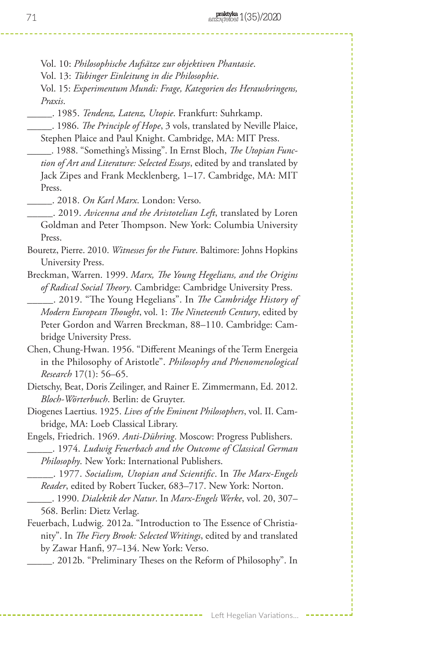- Vol. 10: *Philosophische Aufsätze zur objektiven Phantasie*.
- Vol. 13: *Tübinger Einleitung in die Philosophie*.
- Vol. 15: *Experimentum Mundi: Frage, Kategorien des Herausbringens, Praxis*.
- \_\_\_\_\_. 1985. *Tendenz, Latenz, Utopie*. Frankfurt: Suhrkamp.
- \_\_\_\_\_. 1986. *The Principle of Hope*, 3 vols, translated by Neville Plaice, Stephen Plaice and Paul Knight. Cambridge, MA: MIT Press.
- \_\_\_\_\_. 1988. "Something's Missing". In Ernst Bloch, *The Utopian Function of Art and Literature: Selected Essays*, edited by and translated by Jack Zipes and Frank Mecklenberg, 1–17. Cambridge, MA: MIT Press.
	- \_\_\_\_\_. 2018. *On Karl Marx*. London: Verso.
- \_\_\_\_\_. 2019. *Avicenna and the Aristotelian Left*, translated by Loren Goldman and Peter Thompson. New York: Columbia University Press.
- Bouretz, Pierre. 2010. *Witnesses for the Future*. Baltimore: Johns Hopkins University Press.
- Breckman, Warren. 1999. *Marx, The Young Hegelians, and the Origins of Radical Social Theory*. Cambridge: Cambridge University Press.
- \_\_\_\_\_. 2019. "The Young Hegelians". In *The Cambridge History of Modern European Thought*, vol. 1: *The Nineteenth Century*, edited by Peter Gordon and Warren Breckman, 88–110. Cambridge: Cambridge University Press.
- Chen, Chung-Hwan. 1956. "Different Meanings of the Term Energeia in the Philosophy of Aristotle". *Philosophy and Phenomenological Research* 17(1): 56–65.
- Dietschy, Beat, Doris Zeilinger, and Rainer E. Zimmermann, Ed. 2012. *Bloch-Wörterbuch*. Berlin: de Gruyter.
- Diogenes Laertius. 1925. *Lives of the Eminent Philosophers*, vol. II. Cambridge, MA: Loeb Classical Library.
- Engels, Friedrich. 1969. *Anti-Dühring*. Moscow: Progress Publishers. \_\_\_\_\_. 1974. *Ludwig Feuerbach and the Outcome of Classical German* 
	- *Philosophy*. New York: International Publishers.
- \_\_\_\_\_. 1977. *Socialism, Utopian and Scientific*. In *The Marx-Engels Reader*, edited by Robert Tucker, 683–717. New York: Norton.
- \_\_\_\_\_. 1990. *Dialektik der Natur*. In *Marx-Engels Werke*, vol. 20, 307– 568. Berlin: Dietz Verlag.
- Feuerbach, Ludwig. 2012a. "Introduction to The Essence of Christianity". In *The Fiery Brook: Selected Writings*, edited by and translated by Zawar Hanfi, 97–134. New York: Verso.
	- \_\_\_\_\_. 2012b. "Preliminary Theses on the Reform of Philosophy". In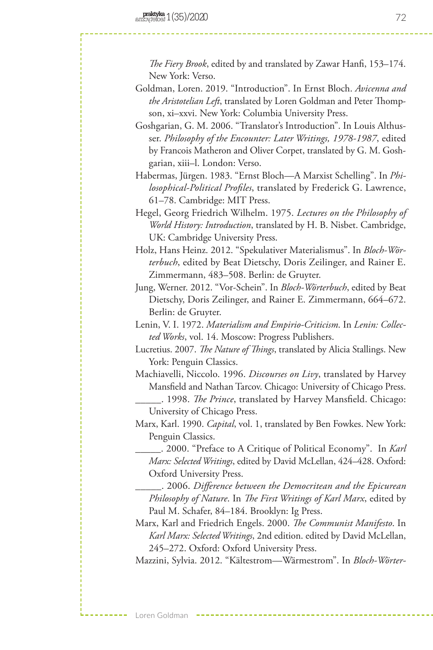*The Fiery Brook*, edited by and translated by Zawar Hanfi, 153–174. New York: Verso.

Goldman, Loren. 2019. "Introduction". In Ernst Bloch. *Avicenna and the Aristotelian Left*, translated by Loren Goldman and Peter Thompson, xi–xxvi. New York: Columbia University Press.

Goshgarian, G. M. 2006. "Translator's Introduction". In Louis Althusser. *Philosophy of the Encounter: Later Writings, 1978-1987*, edited by Francois Matheron and Oliver Corpet, translated by G. M. Goshgarian, xiii–l. London: Verso.

Habermas, Jürgen. 1983. "Ernst Bloch—A Marxist Schelling". In *Philosophical-Political Profiles*, translated by Frederick G. Lawrence, 61–78. Cambridge: MIT Press.

Hegel, Georg Friedrich Wilhelm. 1975. *Lectures on the Philosophy of World History: Introduction*, translated by H. B. Nisbet. Cambridge, UK: Cambridge University Press.

Holz, Hans Heinz. 2012. "Spekulativer Materialismus". In *Bloch-Wörterbuch*, edited by Beat Dietschy, Doris Zeilinger, and Rainer E. Zimmermann, 483–508. Berlin: de Gruyter.

Jung, Werner. 2012. "Vor-Schein". In *Bloch-Wörterbuch*, edited by Beat Dietschy, Doris Zeilinger, and Rainer E. Zimmermann, 664–672. Berlin: de Gruyter.

Lenin, V. I. 1972. *Materialism and Empirio-Criticism*. In *Lenin: Collected Works*, vol. 14. Moscow: Progress Publishers.

Lucretius. 2007. *The Nature of Things*, translated by Alicia Stallings. New York: Penguin Classics.

Machiavelli, Niccolo. 1996. *Discourses on Livy*, translated by Harvey Mansfield and Nathan Tarcov. Chicago: University of Chicago Press.

\_\_\_\_\_. 1998. *The Prince*, translated by Harvey Mansfield. Chicago: University of Chicago Press.

Marx, Karl. 1990. *Capital*, vol. 1, translated by Ben Fowkes. New York: Penguin Classics.

\_\_\_\_\_. 2000. "Preface to A Critique of Political Economy". In *Karl Marx: Selected Writings*, edited by David McLellan, 424–428. Oxford: Oxford University Press.

\_\_\_\_\_. 2006. *Difference between the Democritean and the Epicurean Philosophy of Nature*. In *The First Writings of Karl Marx*, edited by Paul M. Schafer, 84–184. Brooklyn: Ig Press.

Marx, Karl and Friedrich Engels. 2000. *The Communist Manifesto*. In *Karl Marx: Selected Writings*, 2nd edition. edited by David McLellan, 245–272. Oxford: Oxford University Press.

Mazzini, Sylvia. 2012. "Kältestrom—Wärmestrom". In *Bloch-Wörter-*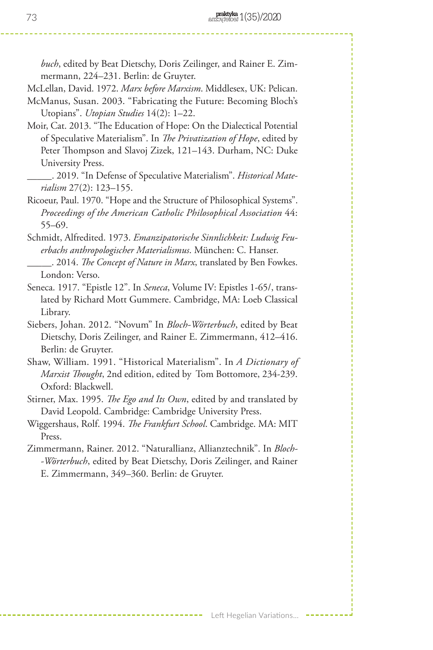*buch*, edited by Beat Dietschy, Doris Zeilinger, and Rainer E. Zimmermann, 224–231. Berlin: de Gruyter.

McLellan, David. 1972. *Marx before Marxism*. Middlesex, UK: Pelican.

- McManus, Susan. 2003. "Fabricating the Future: Becoming Bloch's Utopians". *Utopian Studies* 14(2): 1–22.
- Moir, Cat. 2013. "The Education of Hope: On the Dialectical Potential of Speculative Materialism". In *The Privatization of Hope*, edited by Peter Thompson and Slavoj Zizek, 121–143. Durham, NC: Duke University Press.
- \_\_\_\_\_. 2019. "In Defense of Speculative Materialism". *Historical Materialism* 27(2): 123–155.
- Ricoeur, Paul. 1970. "Hope and the Structure of Philosophical Systems". *Proceedings of the American Catholic Philosophical Association* 44: 55–69.
- Schmidt, Alfredited. 1973. *Emanzipatorische Sinnlichkeit: Ludwig Feuerbachs anthropologischer Materialismus*. München: C. Hanser.
- \_\_\_\_\_. 2014. *The Concept of Nature in Marx*, translated by Ben Fowkes. London: Verso.
- Seneca. 1917. "Epistle 12". In *Seneca*, Volume IV: Epistles 1-65/, translated by Richard Mott Gummere. Cambridge, MA: Loeb Classical Library.
- Siebers, Johan. 2012. "Novum" In *Bloch-Wörterbuch*, edited by Beat Dietschy, Doris Zeilinger, and Rainer E. Zimmermann, 412–416. Berlin: de Gruyter.
- Shaw, William. 1991. "Historical Materialism". In *A Dictionary of Marxist Thought*, 2nd edition, edited by Tom Bottomore, 234-239. Oxford: Blackwell.
- Stirner, Max. 1995. *The Ego and Its Own*, edited by and translated by David Leopold. Cambridge: Cambridge University Press.
- Wiggershaus, Rolf. 1994. *The Frankfurt School*. Cambridge. MA: MIT Press.
- Zimmermann, Rainer. 2012. "Naturallianz, Allianztechnik". In *Bloch- -Wörterbuch*, edited by Beat Dietschy, Doris Zeilinger, and Rainer E. Zimmermann, 349–360. Berlin: de Gruyter.